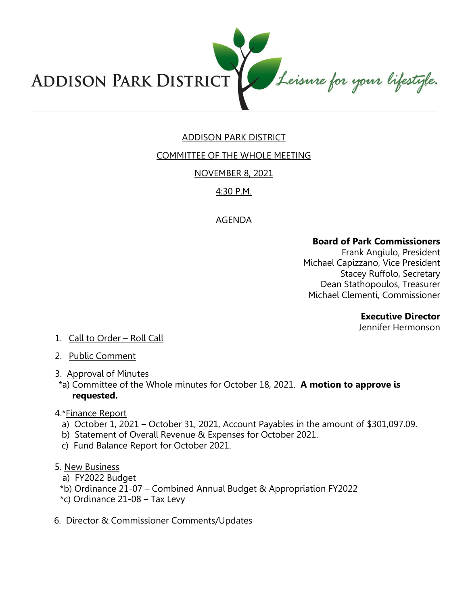

# ADDISON PARK DISTRICT

COMMITTEE OF THE WHOLE MEETING

## NOVEMBER 8, 2021

# 4:30 P.M.

## AGENDA

### **Board of Park Commissioners**

Frank Angiulo, President Michael Capizzano, Vice President Stacey Ruffolo, Secretary Dean Stathopoulos, Treasurer Michael Clementi, Commissioner

#### **Executive Director**

Jennifer Hermonson

- 1. Call to Order Roll Call
- 2. Public Comment
- 3. Approval of Minutes
- \*a) Committee of the Whole minutes for October 18, 2021. **A motion to approve is requested.**
- 4.\*Finance Report
	- a) October 1, 2021 October 31, 2021, Account Payables in the amount of \$301,097.09.
	- b) Statement of Overall Revenue & Expenses for October 2021.
	- c) Fund Balance Report for October 2021.
- 5. New Business
	- a) FY2022 Budget
	- \*b) Ordinance 21-07 Combined Annual Budget & Appropriation FY2022
	- \*c) Ordinance 21-08 Tax Levy
- 6. Director & Commissioner Comments/Updates